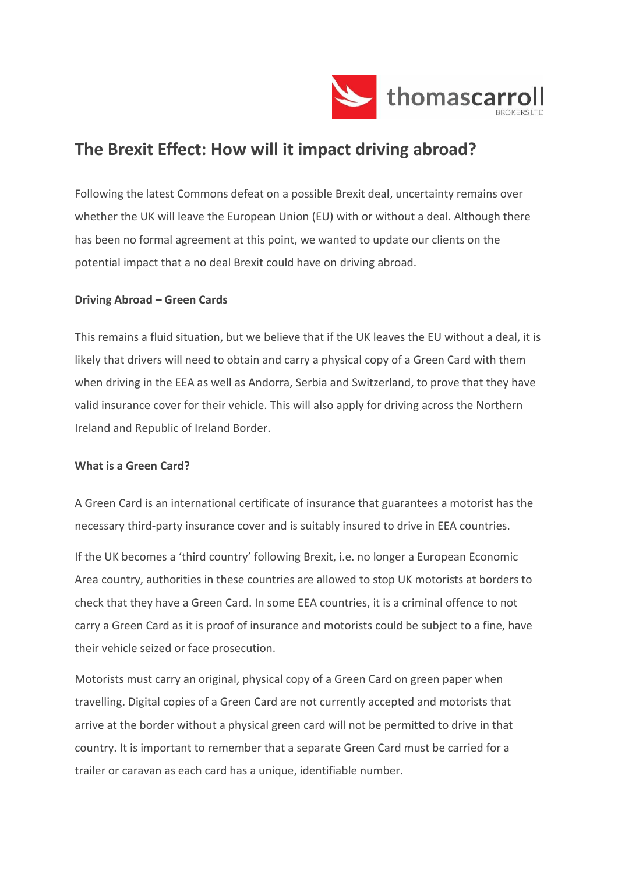

# **The Brexit Effect: How will it impact driving abroad?**

Following the latest Commons defeat on a possible Brexit deal, uncertainty remains over whether the UK will leave the European Union (EU) with or without a deal. Although there has been no formal agreement at this point, we wanted to update our clients on the potential impact that a no deal Brexit could have on driving abroad.

## **Driving Abroad – Green Cards**

This remains a fluid situation, but we believe that if the UK leaves the EU without a deal, it is likely that drivers will need to obtain and carry a physical copy of a Green Card with them when driving in the EEA as well as Andorra, Serbia and Switzerland, to prove that they have valid insurance cover for their vehicle. This will also apply for driving across the Northern Ireland and Republic of Ireland Border.

#### **What is a Green Card?**

A Green Card is an international certificate of insurance that guarantees a motorist has the necessary third-party insurance cover and is suitably insured to drive in EEA countries.

If the UK becomes a 'third country' following Brexit, i.e. no longer a European Economic Area country, authorities in these countries are allowed to stop UK motorists at borders to check that they have a Green Card. In some EEA countries, it is a criminal offence to not carry a Green Card as it is proof of insurance and motorists could be subject to a fine, have their vehicle seized or face prosecution.

Motorists must carry an original, physical copy of a Green Card on green paper when travelling. Digital copies of a Green Card are not currently accepted and motorists that arrive at the border without a physical green card will not be permitted to drive in that country. It is important to remember that a separate Green Card must be carried for a trailer or caravan as each card has a unique, identifiable number.